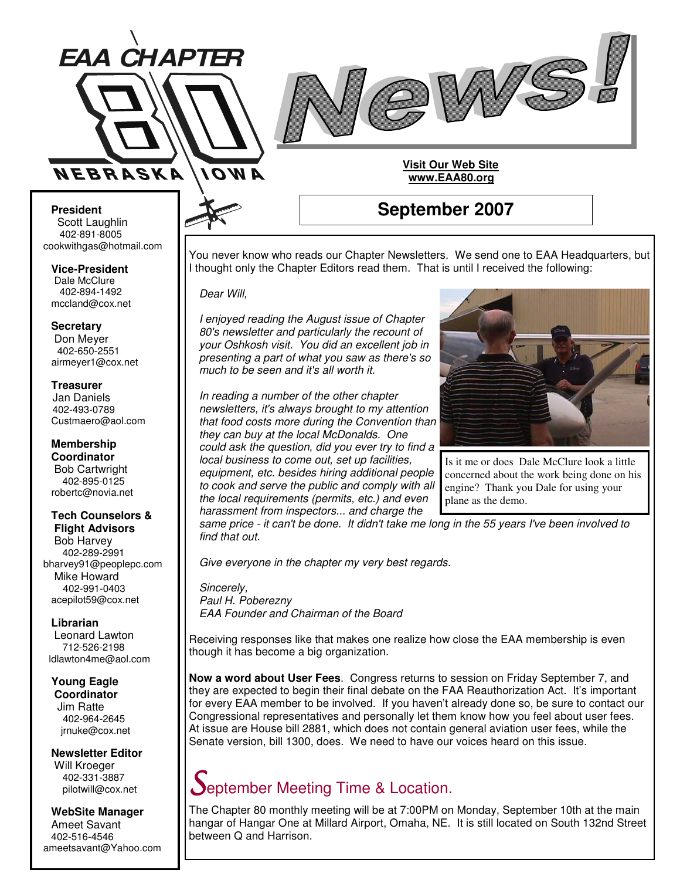



#### **President** Scott Laughlin 402-891-8005 cookwithgas@hotmail.com

**Vice-President** Dale McClure 402-894-1492 mccland@cox.net

**Secretary** Don Meyer 402-650-2551 airmeyer1@cox.net

**Treasurer** Jan Daniels 402-493-0789 Custmaero@aol.com

**Membership Coordinator** Bob Cartwright 402-895-0125 robertc@novia.net

### **Tech Counselors &**

**Flight Advisors** Bob Harvey 402-289-2991 bharvey91@peoplepc.com Mike Howard 402-991-0403 acepilot59@cox.net

**Librarian**

Leonard Lawton 712-526-2198 ldlawton4me@aol.com

**Young Eagle Coordinator** Jim Ratte 402-964-2645 jrnuke@cox.net

**Newsletter Editor** Will Kroeger 402-331-3887 pilotwill@cox.net

**WebSite Manager** Ameet Savant 402-516-4546 ameetsavant@Yahoo.com

## **September 2007**

**Visit Our Web Site www.EAA80.org**

You never know who reads our Chapter Newsletters. We send one to EAA Headquarters, but I thought only the Chapter Editors read them. That is until I received the following:

*Dear Will,*

*I enjoyed reading the August issue of Chapter 80's newsletter and particularly the recount of your Oshkosh visit. You did an excellent job in presenting a part of what you saw as there's so much to be seen and it's all worth it.*

*In reading a number of the other chapter newsletters, it's always brought to my attention that food costs more during the Convention than they can buy at the local McDonalds. One could ask the question, did you ever try to find a local business to come out, set up facilities, equipment, etc. besides hiring additional people to cook and serve the public and comply with all the local requirements (permits, etc.) and even*



Is it me or does Dale McClure look a little concerned about the work being done on his engine? Thank you Dale for using your plane as the demo.

*harassment from inspectors... and charge the* same price - it can't be done. It didn't take me long in the 55 years I've been involved to *find that out.*

*Give everyone in the chapter my very best regards.*

*Sincerely, Paul H. Poberezny EAA Founder and Chairman of the Board*

Receiving responses like that makes one realize how close the EAA membership is even though it has become a big organization.

**Now a word about User Fees**. Congress returns to session on Friday September 7, and they are expected to begin their final debate on the FAA Reauthorization Act. It's important for every EAA member to be involved. If you haven't already done so, be sure to contact our Congressional representatives and personally let them know how you feel about user fees. At issue are House bill 2881, which does not contain general aviation user fees, while the Senate version, bill 1300, does. We need to have our voices heard on this issue.

# eptember Meeting Time & Location.

The Chapter 80 monthly meeting will be at 7:00PM on Monday, September 10th at the main hangar of Hangar One at Millard Airport, Omaha, NE. It is still located on South 132nd Street between Q and Harrison.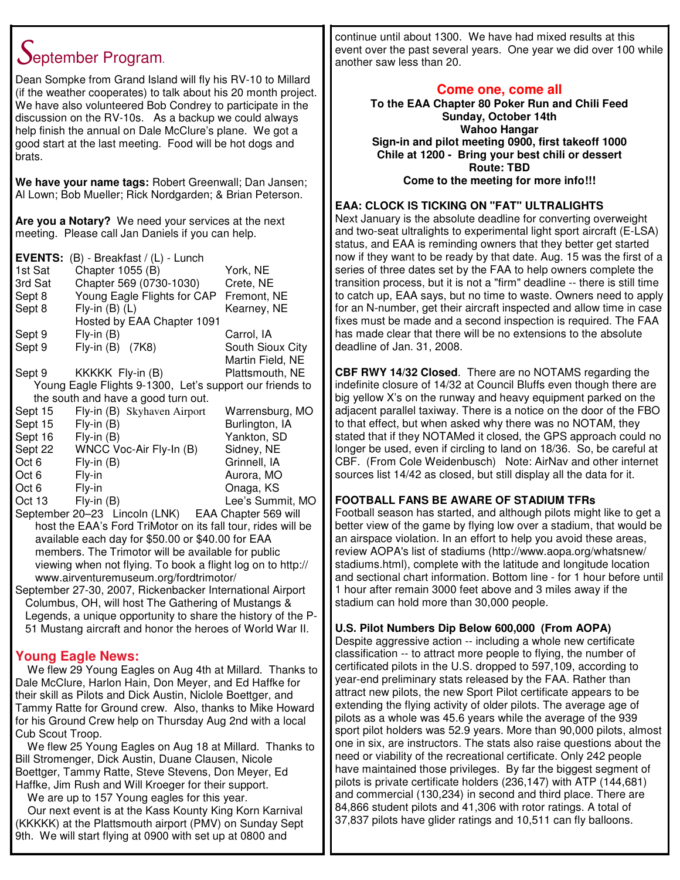# September Program.

Dean Sompke from Grand Island will fly his RV-10 to Millard (if the weather cooperates) to talk about his 20 month project. We have also volunteered Bob Condrey to participate in the discussion on the RV-10s. As a backup we could always help finish the annual on Dale McClure's plane. We got a good start at the last meeting. Food will be hot dogs and brats.

**We have your name tags:** Robert Greenwall; Dan Jansen; Al Lown; Bob Mueller; Rick Nordgarden; & Brian Peterson.

**Are you a Notary?** We need your services at the next meeting. Please call Jan Daniels if you can help.

|         | <b>EVENTS:</b> (B) - Breakfast / (L) - Lunch             |                  |
|---------|----------------------------------------------------------|------------------|
| 1st Sat | Chapter 1055 (B)                                         | York, NE         |
| 3rd Sat | Chapter 569 (0730-1030)                                  | Crete, NE        |
| Sept 8  | Young Eagle Flights for CAP                              | Fremont, NE      |
| Sept 8  | Fly-in $(B)$ $(L)$                                       | Kearney, NE      |
|         | Hosted by EAA Chapter 1091                               |                  |
| Sept 9  | $Fly-in(B)$                                              | Carrol, IA       |
| Sept 9  | Fly-in (B) (7K8)                                         | South Sioux City |
|         |                                                          | Martin Field, NE |
| Sept 9  | KKKKK Fly-in (B)                                         | Plattsmouth, NE  |
|         | Young Eagle Flights 9-1300, Let's support our friends to |                  |
|         | the south and have a good turn out.                      |                  |
| Sept 15 | Fly-in (B) Skyhaven Airport                              | Warrensburg, MO  |
| Sept 15 | $Fly-in(B)$                                              | Burlington, IA   |
| Sept 16 | $Fly-in(B)$                                              | Yankton, SD      |
| Sept 22 | WNCC Voc-Air Fly-In (B)                                  | Sidney, NE       |
| Oct 6   | $Fly-in(B)$                                              | Grinnell, IA     |
| Oct 6   | Fly-in                                                   | Aurora, MO       |
| Oct 6   | Fly-in                                                   | Onaga, KS        |
| Oct 13  | Fly-in (B)                                               | Lee's Summit, MO |

September 20–23 Lincoln (LNK) EAA Chapter 569 will host the EAA's Ford TriMotor on its fall tour, rides will be available each day for \$50.00 or \$40.00 for EAA members. The Trimotor will be available for public viewing when not flying. To book a flight log on to http:// www.airventuremuseum.org/fordtrimotor/

September 27-30, 2007, Rickenbacker International Airport Columbus, OH, will host The Gathering of Mustangs & Legends, a unique opportunity to share the history of the P-51 Mustang aircraft and honor the heroes of World War II.

#### **Young Eagle News:**

We flew 29 Young Eagles on Aug 4th at Millard. Thanks to Dale McClure, Harlon Hain, Don Meyer, and Ed Haffke for their skill as Pilots and Dick Austin, Niclole Boettger, and Tammy Ratte for Ground crew. Also, thanks to Mike Howard for his Ground Crew help on Thursday Aug 2nd with a local Cub Scout Troop.

We flew 25 Young Eagles on Aug 18 at Millard. Thanks to Bill Stromenger, Dick Austin, Duane Clausen, Nicole Boettger, Tammy Ratte, Steve Stevens, Don Meyer, Ed Haffke, Jim Rush and Will Kroeger for their support.

We are up to 157 Young eagles for this year.

Our next event is at the Kass Kounty King Korn Karnival (KKKKK) at the Plattsmouth airport (PMV) on Sunday Sept 9th. We will start flying at 0900 with set up at 0800 and

continue until about 1300. We have had mixed results at this event over the past several years. One year we did over 100 while another saw less than 20.

#### **Come one, come all**

**To the EAA Chapter 80 Poker Run and Chili Feed Sunday, October 14th Wahoo Hangar Sign-in and pilot meeting 0900, first takeoff 1000 Chile at 1200 - Bring your best chili or dessert Route: TBD Come to the meeting for more info!!!**

#### **EAA: CLOCK IS TICKING ON "FAT" ULTRALIGHTS**

Next January is the absolute deadline for converting overweight and two-seat ultralights to experimental light sport aircraft (E-LSA) status, and EAA is reminding owners that they better get started now if they want to be ready by that date. Aug. 15 was the first of a series of three dates set by the FAA to help owners complete the transition process, but it is not a "firm" deadline -- there is still time to catch up, EAA says, but no time to waste. Owners need to apply for an N-number, get their aircraft inspected and allow time in case fixes must be made and a second inspection is required. The FAA has made clear that there will be no extensions to the absolute deadline of Jan. 31, 2008.

**CBF RWY 14/32 Closed**. There are no NOTAMS regarding the indefinite closure of 14/32 at Council Bluffs even though there are big yellow X's on the runway and heavy equipment parked on the adjacent parallel taxiway. There is a notice on the door of the FBO to that effect, but when asked why there was no NOTAM, they stated that if they NOTAMed it closed, the GPS approach could no longer be used, even if circling to land on 18/36. So, be careful at CBF. (From Cole Weidenbusch) Note: AirNav and other internet sources list 14/42 as closed, but still display all the data for it.

#### **FOOTBALL FANS BE AWARE OF STADIUM TFRs**

Football season has started, and although pilots might like to get a better view of the game by flying low over a stadium, that would be an airspace violation. In an effort to help you avoid these areas, review AOPA's list of stadiums (http://www.aopa.org/whatsnew/ stadiums.html), complete with the latitude and longitude location and sectional chart information. Bottom line - for 1 hour before until 1 hour after remain 3000 feet above and 3 miles away if the stadium can hold more than 30,000 people.

#### **U.S. Pilot Numbers Dip Below 600,000 (From AOPA)**

Despite aggressive action -- including a whole new certificate classification -- to attract more people to flying, the number of certificated pilots in the U.S. dropped to 597,109, according to year-end preliminary stats released by the FAA. Rather than attract new pilots, the new Sport Pilot certificate appears to be extending the flying activity of older pilots. The average age of pilots as a whole was 45.6 years while the average of the 939 sport pilot holders was 52.9 years. More than 90,000 pilots, almost one in six, are instructors. The stats also raise questions about the need or viability of the recreational certificate. Only 242 people have maintained those privileges. By far the biggest segment of pilots is private certificate holders (236,147) with ATP (144,681) and commercial (130,234) in second and third place. There are 84,866 student pilots and 41,306 with rotor ratings. A total of 37,837 pilots have glider ratings and 10,511 can fly balloons.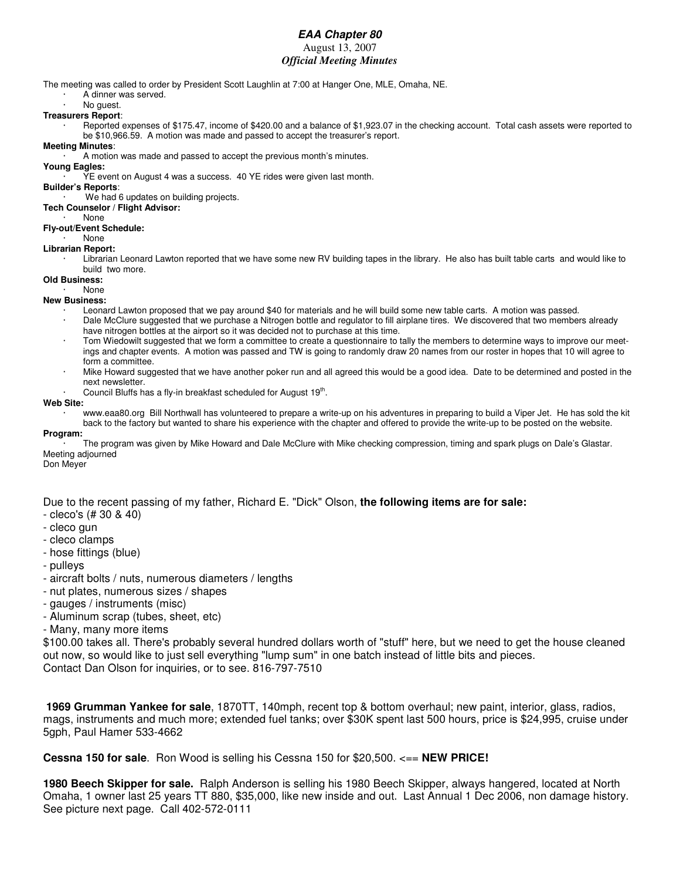#### *EAA Chapter 80*

#### August 13, 2007

#### *Official Meeting Minutes*

The meeting was called to order by President Scott Laughlin at 7:00 at Hanger One, MLE, Omaha, NE.

- · A dinner was served.
- No guest.

#### **Treasurers Report**:

- · Reported expenses of \$175.47, income of \$420.00 and a balance of \$1,923.07 in the checking account. Total cash assets were reported to be \$10,966.59. A motion was made and passed to accept the treasurer's report.
- **Meeting Minutes**:

A motion was made and passed to accept the previous month's minutes.

#### **Young Eagles:**

YE event on August 4 was a success. 40 YE rides were given last month.

#### **Builder's Reports**:

We had 6 updates on building projects.

#### **Tech Counselor / Flight Advisor:**

· None

#### **Fly-out/Event Schedule:**

· None

#### **Librarian Report:**

Librarian Leonard Lawton reported that we have some new RV building tapes in the library. He also has built table carts and would like to build two more.

#### **Old Business:** · None

#### **New Business:**

- Leonard Lawton proposed that we pay around \$40 for materials and he will build some new table carts. A motion was passed. · Dale McClure suggested that we purchase a Nitrogen bottle and regulator to fill airplane tires. We discovered that two members already
- have nitrogen bottles at the airport so it was decided not to purchase at this time.
- · Tom Wiedowilt suggested that we form a committee to create a questionnaire to tally the members to determine ways to improve our meetings and chapter events. A motion was passed and TW is going to randomly draw 20 names from our roster in hopes that 10 will agree to form a committee.
- · Mike Howard suggested that we have another poker run and all agreed this would be a good idea. Date to be determined and posted in the next newsletter.
- · Council Bluffs has a fly-in breakfast scheduled for August 19<sup>th</sup>.

#### **Web Site:**

· www.eaa80.org Bill Northwall has volunteered to prepare a write-up on his adventures in preparing to build a Viper Jet. He has sold the kit back to the factory but wanted to share his experience with the chapter and offered to provide the write-up to be posted on the website.

**Program:** · The program was given by Mike Howard and Dale McClure with Mike checking compression, timing and spark plugs on Dale's Glastar. Meeting adjourned

Don Meyer

Due to the recent passing of my father, Richard E. "Dick" Olson, **the following items are for sale:**

- cleco's (# 30 & 40)
- cleco gun
- cleco clamps
- hose fittings (blue)
- pulleys
- aircraft bolts / nuts, numerous diameters / lengths
- nut plates, numerous sizes / shapes
- gauges / instruments (misc)
- Aluminum scrap (tubes, sheet, etc)
- Many, many more items

\$100.00 takes all. There's probably several hundred dollars worth of "stuff" here, but we need to get the house cleaned out now, so would like to just sell everything "lump sum" in one batch instead of little bits and pieces. Contact Dan Olson for inquiries, or to see. 816-797-7510

**1969 Grumman Yankee for sale**, 1870TT, 140mph, recent top & bottom overhaul; new paint, interior, glass, radios, mags, instruments and much more; extended fuel tanks; over \$30K spent last 500 hours, price is \$24,995, cruise under 5gph, Paul Hamer 533-4662

**Cessna 150 for sale**. Ron Wood is selling his Cessna 150 for \$20,500. <== **NEW PRICE!**

**1980 Beech Skipper for sale.** Ralph Anderson is selling his 1980 Beech Skipper, always hangered, located at North Omaha, 1 owner last 25 years TT 880, \$35,000, like new inside and out. Last Annual 1 Dec 2006, non damage history. See picture next page. Call 402-572-0111